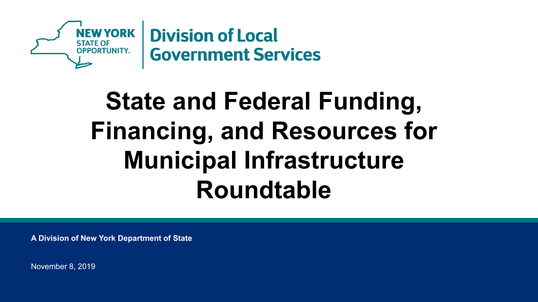

# **State and Federal Funding, Financing, and Resources for Municipal Infrastructure Roundtable**

**A Division of New York Department of State**

November 8, 2019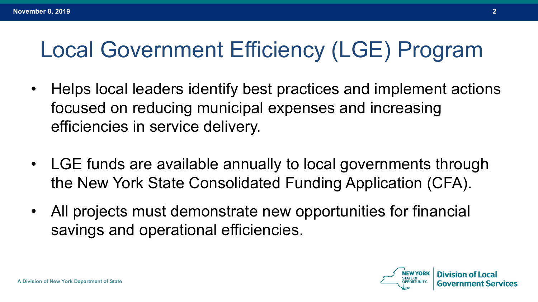#### Local Government Efficiency (LGE) Program

- Helps local leaders identify best practices and implement actions focused on reducing municipal expenses and increasing efficiencies in service delivery.
- LGE funds are available annually to local governments through the New York State Consolidated Funding Application (CFA).
- All projects must demonstrate new opportunities for financial savings and operational efficiencies.

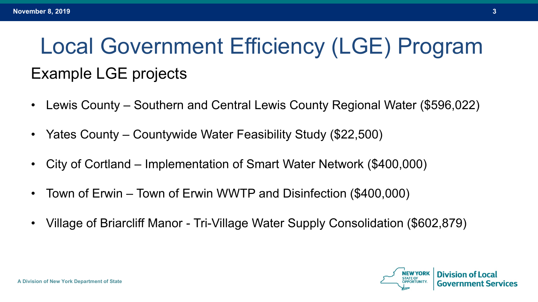## Local Government Efficiency (LGE) Program Example LGE projects

- Lewis County Southern and Central Lewis County Regional Water (\$596,022)
- Yates County Countywide Water Feasibility Study (\$22,500)
- City of Cortland Implementation of Smart Water Network (\$400,000)
- Town of Erwin Town of Erwin WWTP and Disinfection (\$400,000)
- Village of Briarcliff Manor Tri-Village Water Supply Consolidation (\$602,879)

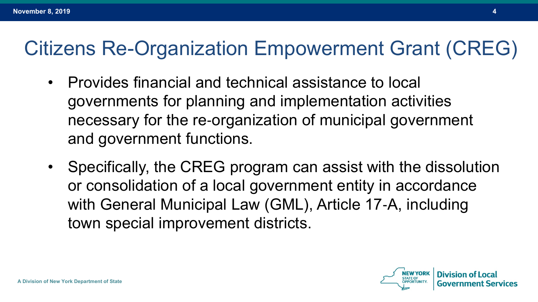#### Citizens Re-Organization Empowerment Grant (CREG)

- Provides financial and technical assistance to local governments for planning and implementation activities necessary for the re‐organization of municipal government and government functions.
- Specifically, the CREG program can assist with the dissolution or consolidation of a local government entity in accordance with General Municipal Law (GML), Article 17‐A, including town special improvement districts.

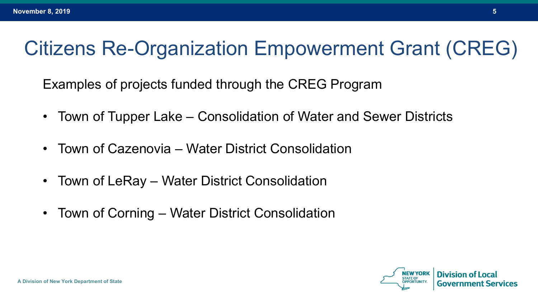#### Citizens Re-Organization Empowerment Grant (CREG)

Examples of projects funded through the CREG Program

- Town of Tupper Lake Consolidation of Water and Sewer Districts
- Town of Cazenovia Water District Consolidation
- Town of LeRay Water District Consolidation
- Town of Corning Water District Consolidation

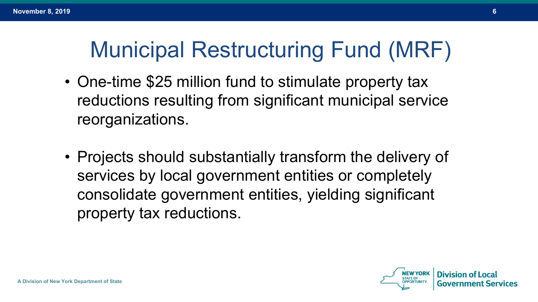#### Municipal Restructuring Fund (MRF)

- One-time \$25 million fund to stimulate property tax reductions resulting from significant municipal service reorganizations.
- Projects should substantially transform the delivery of services by local government entities or completely consolidate government entities, yielding significant property tax reductions.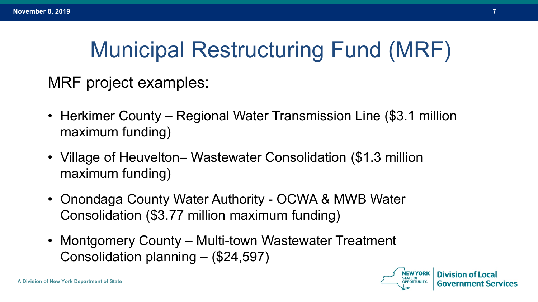### Municipal Restructuring Fund (MRF)

MRF project examples:

- Herkimer County Regional Water Transmission Line (\$3.1 million maximum funding)
- Village of Heuvelton– Wastewater Consolidation (\$1.3 million maximum funding)
- Onondaga County Water Authority OCWA & MWB Water Consolidation (\$3.77 million maximum funding)
- Montgomery County Multi-town Wastewater Treatment Consolidation planning – (\$24,597)

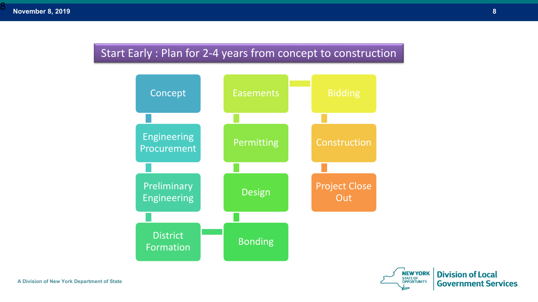8

#### Start Early : Plan for 2-4 years from concept to construction



**A Division of New York Department of State**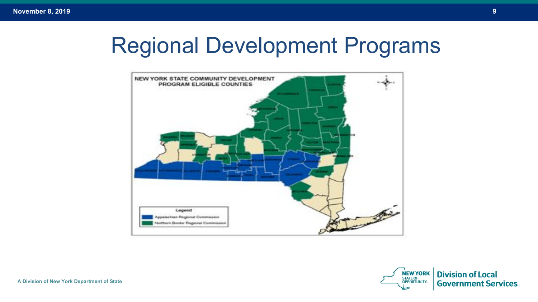#### Regional Development Programs



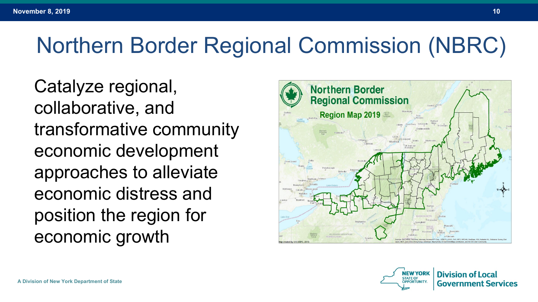#### Northern Border Regional Commission (NBRC)

Catalyze regional, collaborative, and transformative community economic development approaches to alleviate economic distress and position the region for economic growth



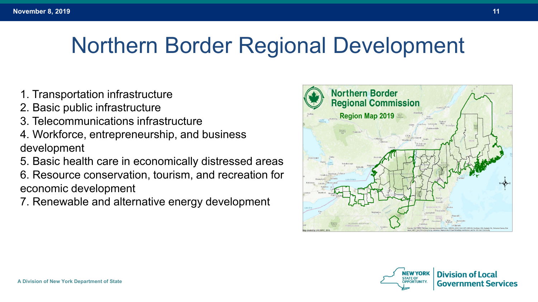#### Northern Border Regional Development

- 1. Transportation infrastructure
- 2. Basic public infrastructure
- 3. Telecommunications infrastructure
- 4. Workforce, entrepreneurship, and business development
- 5. Basic health care in economically distressed areas 6. Resource conservation, tourism, and recreation for economic development
- 7. Renewable and alternative energy development



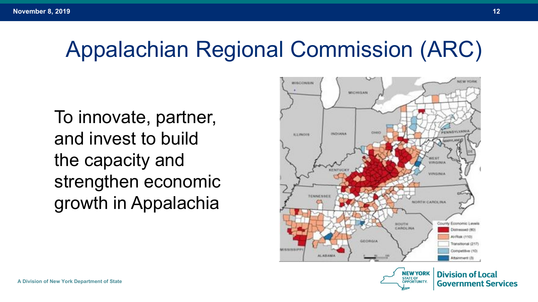#### Appalachian Regional Commission (ARC)

To innovate, partner, and invest to build the capacity and strengthen economic growth in Appalachia

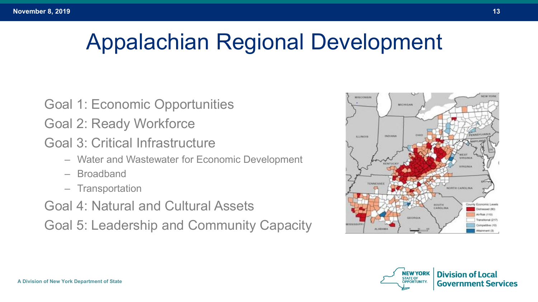#### Appalachian Regional Development

- Goal 1: Economic Opportunities
- Goal 2: Ready Workforce
- Goal 3: Critical Infrastructure
	- Water and Wastewater for Economic Development
	- Broadband
	- Transportation
- Goal 4: Natural and Cultural Assets Goal 5: Leadership and Community Capacity